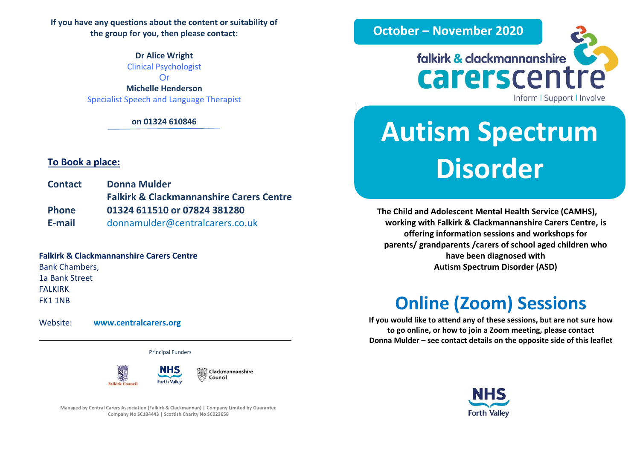**If you have any questions about the content or suitability of the group for you, then please contact:**

> **Dr Alice Wright** Clinical Psychologist Or

**Michelle Henderson** Specialist Speech and Language Therapist

**on 01324 610846** 

#### **To Book a place:**

**Contact Donna Mulder Falkirk & Clackmannanshire Carers Centre Phone 01324 611510 or 07824 381280 E-mail** donnamulder@centralcarers.co.uk

### **Falkirk & Clackmannanshire Carers Centre**

Bank Chambers, 1a Bank Street FALKIRK FK1 1NB

Website: **[www.centralcarers.org](http://www.centralcarers.org/)**

Principal Funders



**Managed by Central Carers Association (Falkirk & Clackmannan) | Company Limited by Guarantee Company No SC184443 | Scottish Charity No SC023658**



# **Autism Spectrum Disorder**

**The Child and Adolescent Mental Health Service (CAMHS), working with Falkirk & Clackmannanshire Carers Centre, is offering information sessions and workshops for parents/ grandparents /carers of school aged children who have been diagnosed with Autism Spectrum Disorder (ASD)**

## **Online (Zoom) Sessions**

**If you would like to attend any of these sessions, but are not sure how to go online, or how to join a Zoom meeting, please contact Donna Mulder – see contact details on the opposite side of this leaflet**